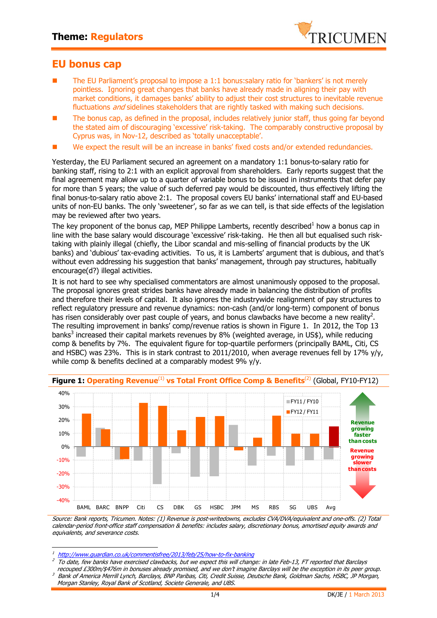

## **EU bonus cap**

- The EU Parliament's proposal to impose a 1:1 bonus:salary ratio for 'bankers' is not merely pointless. Ignoring great changes that banks have already made in aligning their pay with market conditions, it damages banks' ability to adjust their cost structures to inevitable revenue fluctuations *and* sidelines stakeholders that are rightly tasked with making such decisions.
- The bonus cap, as defined in the proposal, includes relatively junior staff, thus going far beyond the stated aim of discouraging 'excessive' risk-taking. The comparably constructive proposal by Cyprus was, in Nov-12, described as 'totally unacceptable'.
- We expect the result will be an increase in banks' fixed costs and/or extended redundancies.

Yesterday, the EU Parliament secured an agreement on a mandatory 1:1 bonus-to-salary ratio for banking staff, rising to 2:1 with an explicit approval from shareholders. Early reports suggest that the final agreement may allow up to a quarter of variable bonus to be issued in instruments that defer pay for more than 5 years; the value of such deferred pay would be discounted, thus effectively lifting the final bonus-to-salary ratio above 2:1. The proposal covers EU banks' international staff and EU-based units of non-EU banks. The only 'sweetener', so far as we can tell, is that side effects of the legislation may be reviewed after two years.

The key proponent of the bonus cap, MEP Philippe Lamberts, recently described<sup>1</sup> how a bonus cap in line with the base salary would discourage 'excessive' risk-taking. He then all but equalised such risktaking with plainly illegal (chiefly, the Libor scandal and mis-selling of financial products by the UK banks) and 'dubious' tax-evading activities. To us, it is Lamberts' argument that is dubious, and that's without even addressing his suggestion that banks' management, through pay structures, habitually encourage(d?) illegal activities.

It is not hard to see why specialised commentators are almost unanimously opposed to the proposal. The proposal ignores great strides banks have already made in balancing the distribution of profits and therefore their levels of capital. It also ignores the industrywide realignment of pay structures to reflect regulatory pressure and revenue dynamics: non-cash (and/or long-term) component of bonus has risen considerably over past couple of years, and bonus clawbacks have become a new reality<sup>2</sup>. The resulting improvement in banks' comp/revenue ratios is shown in Figure 1. In 2012, the Top 13 banks<sup>3</sup> increased their capital markets revenues by 8% (weighted average, in US\$), while reducing comp & benefits by 7%. The equivalent figure for top-quartile performers (principally BAML, Citi, CS and HSBC) was 23%. This is in stark contrast to 2011/2010, when average revenues fell by 17% y/y, while comp & benefits declined at a comparably modest 9% y/y.



**Figure 1: Operating Revenue**(1) **vs Total Front Office Comp & Benefits**(2) (Global, FY10-FY12)

Source: Bank reports, Tricumen. Notes: (1) Revenue is post-writedowns, excludes CVA/DVA/equivalent and one-offs. (2) Total calendar-period front-office staff compensation & benefits: includes salary, discretionary bonus, amortised equity awards and equivalents, and severance costs.

 $\overline{1}$ http://www.guardian.co.uk/commentisfree/2013/feb/25/how-to-fix-banking

<sup>2</sup> To date, few banks have exercised clawbacks, but we expect this will change: in late Feb-13, FT reported that Barclays

recouped £300m/\$476m in bonuses already promised, and we don't imagine Barclays will be the exception in its peer group. 3 Bank of America Merrill Lynch, Barclays, BNP Paribas, Citi, Credit Suisse, Deutsche Bank, Goldman Sachs, HSBC, JP Morgan, Morgan Stanley, Royal Bank of Scotland, Societe Generale, and UBS.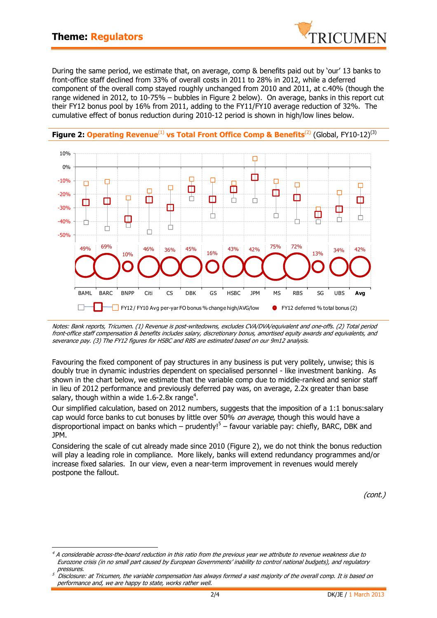

During the same period, we estimate that, on average, comp & benefits paid out by 'our' 13 banks to front-office staff declined from 33% of overall costs in 2011 to 28% in 2012, while a deferred component of the overall comp stayed roughly unchanged from 2010 and 2011, at c.40% (though the range widened in 2012, to 10-75% – bubbles in Figure 2 below). On average, banks in this report cut their FY12 bonus pool by 16% from 2011, adding to the FY11/FY10 average reduction of 32%. The cumulative effect of bonus reduction during 2010-12 period is shown in high/low lines below.



## **Figure 2: Operating Revenue**<sup>(1)</sup> vs Total Front Office Comp & Benefits<sup>(2)</sup> (Global, FY10-12)<sup>(3)</sup>

Notes: Bank reports, Tricumen. (1) Revenue is post-writedowns, excludes CVA/DVA/equivalent and one-offs. (2) Total period front-office staff compensation & benefits includes salary, discretionary bonus, amortised equity awards and equivalents, and severance pay. (3) The FY12 figures for HSBC and RBS are estimated based on our 9m12 analysis.

Favouring the fixed component of pay structures in any business is put very politely, unwise; this is doubly true in dynamic industries dependent on specialised personnel - like investment banking. As shown in the chart below, we estimate that the variable comp due to middle-ranked and senior staff in lieu of 2012 performance and previously deferred pay was, on average, 2.2x greater than base salary, though within a wide 1.6-2.8x range<sup>4</sup>.

Our simplified calculation, based on 2012 numbers, suggests that the imposition of a 1:1 bonus:salary cap would force banks to cut bonuses by little over 50% on average, though this would have a disproportional impact on banks which – prudently!<sup>5</sup> – favour variable pay: chiefly, BARC, DBK and JPM.

Considering the scale of cut already made since 2010 (Figure 2), we do not think the bonus reduction will play a leading role in compliance. More likely, banks will extend redundancy programmes and/or increase fixed salaries. In our view, even a near-term improvement in revenues would merely postpone the fallout.

(cont.)

<sup>1</sup> 4 A considerable across-the-board reduction in this ratio from the previous year we attribute to revenue weakness due to Eurozone crisis (in no small part caused by European Governments' inability to control national budgets), and regulatory pressures.

<sup>5</sup> Disclosure: at Tricumen, the variable compensation has always formed a vast majority of the overall comp. It is based on performance and, we are happy to state, works rather well.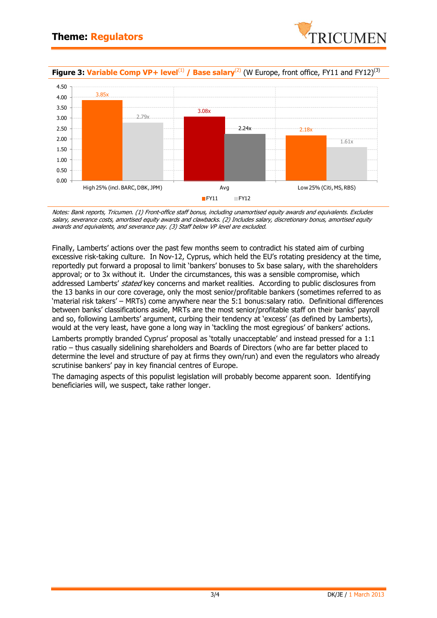

**Figure 3: Variable Comp VP+ level**<sup>(1)</sup> / Base salary<sup>(2)</sup> (W Europe, front office, FY11 and FY12)<sup>(3)</sup>



Notes: Bank reports, Tricumen. (1) Front-office staff bonus, including unamortised equity awards and equivalents. Excludes salary, severance costs, amortised equity awards and clawbacks. (2) Includes salary, discretionary bonus, amortised equity awards and equivalents, and severance pay. (3) Staff below VP level are excluded.

Finally, Lamberts' actions over the past few months seem to contradict his stated aim of curbing excessive risk-taking culture. In Nov-12, Cyprus, which held the EU's rotating presidency at the time, reportedly put forward a proposal to limit 'bankers' bonuses to 5x base salary, with the shareholders approval; or to 3x without it. Under the circumstances, this was a sensible compromise, which addressed Lamberts' stated key concerns and market realities. According to public disclosures from the 13 banks in our core coverage, only the most senior/profitable bankers (sometimes referred to as 'material risk takers' – MRTs) come anywhere near the 5:1 bonus:salary ratio. Definitional differences between banks' classifications aside, MRTs are the most senior/profitable staff on their banks' payroll and so, following Lamberts' argument, curbing their tendency at 'excess' (as defined by Lamberts), would at the very least, have gone a long way in 'tackling the most egregious' of bankers' actions.

Lamberts promptly branded Cyprus' proposal as 'totally unacceptable' and instead pressed for a 1:1 ratio – thus casually sidelining shareholders and Boards of Directors (who are far better placed to determine the level and structure of pay at firms they own/run) and even the regulators who already scrutinise bankers' pay in key financial centres of Europe.

The damaging aspects of this populist legislation will probably become apparent soon. Identifying beneficiaries will, we suspect, take rather longer.